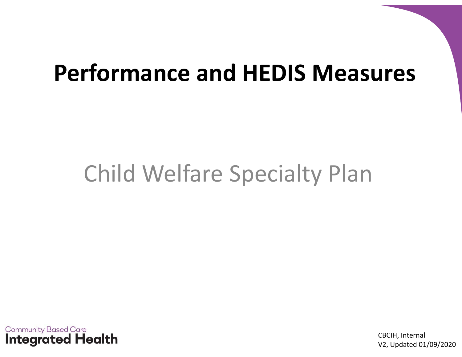# **Performance and HEDIS Measures**

# Child Welfare Specialty Plan



CBCIH, Internal V2, Updated 01/09/2020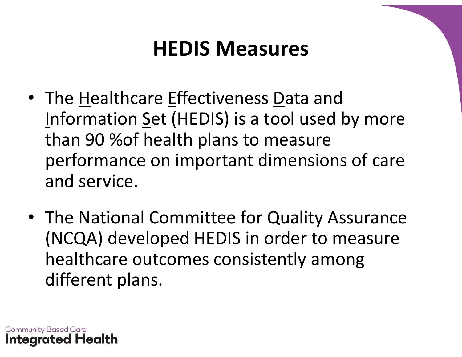### **HEDIS Measures**

- The Healthcare Effectiveness Data and Information Set (HEDIS) is a tool used by more than 90 %of health plans to measure performance on important dimensions of care and service.
- The National Committee for Quality Assurance (NCQA) developed HEDIS in order to measure healthcare outcomes consistently among different plans.

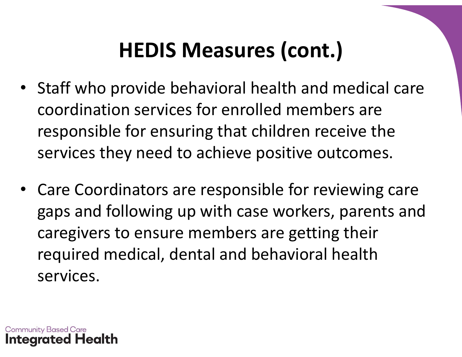# **HEDIS Measures (cont.)**

- Staff who provide behavioral health and medical care coordination services for enrolled members are responsible for ensuring that children receive the services they need to achieve positive outcomes.
- Care Coordinators are responsible for reviewing care gaps and following up with case workers, parents and caregivers to ensure members are getting their required medical, dental and behavioral health services.

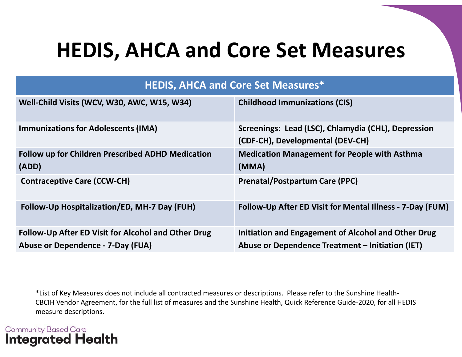### **HEDIS, AHCA and Core Set Measures**

| <b>HEDIS, AHCA and Core Set Measures*</b>                                                       |                                                                                                         |
|-------------------------------------------------------------------------------------------------|---------------------------------------------------------------------------------------------------------|
| Well-Child Visits (WCV, W30, AWC, W15, W34)                                                     | <b>Childhood Immunizations (CIS)</b>                                                                    |
| <b>Immunizations for Adolescents (IMA)</b>                                                      | Screenings: Lead (LSC), Chlamydia (CHL), Depression<br>(CDF-CH), Developmental (DEV-CH)                 |
| Follow up for Children Prescribed ADHD Medication<br>(ADD)                                      | <b>Medication Management for People with Asthma</b><br>(MMA)                                            |
| <b>Contraceptive Care (CCW-CH)</b>                                                              | <b>Prenatal/Postpartum Care (PPC)</b>                                                                   |
| Follow-Up Hospitalization/ED, MH-7 Day (FUH)                                                    | Follow-Up After ED Visit for Mental Illness - 7-Day (FUM)                                               |
| Follow-Up After ED Visit for Alcohol and Other Drug<br><b>Abuse or Dependence - 7-Day (FUA)</b> | Initiation and Engagement of Alcohol and Other Drug<br>Abuse or Dependence Treatment – Initiation (IET) |

\*List of Key Measures does not include all contracted measures or descriptions. Please refer to the Sunshine Health‐ CBCIH Vendor Agreement, for the full list of measures and the Sunshine Health, Quick Reference Guide‐2020, for all HEDIS measure descriptions.

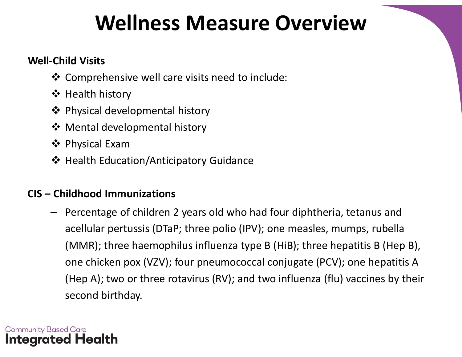### **Wellness Measure Overview**

### **Well‐Child Visits**

- Comprehensive well care visits need to include:
- ❖ Health history
- **❖** Physical developmental history
- **❖** Mental developmental history
- Physical Exam
- Health Education/Anticipatory Guidance

### **CIS – Childhood Immunizations**

– Percentage of children 2 years old who had four diphtheria, tetanus and acellular pertussis (DTaP; three polio (IPV); one measles, mumps, rubella (MMR); three haemophilus influenza type B (HiB); three hepatitis B (Hep B), one chicken pox (VZV); four pneumococcal conjugate (PCV); one hepatitis A (Hep A); two or three rotavirus (RV); and two influenza (flu) vaccines by their second birthday.

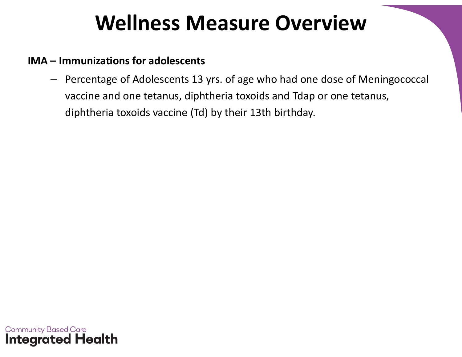### **Wellness Measure Overview**

#### **IMA – Immunizations for adolescents**

– Percentage of Adolescents 13 yrs. of age who had one dose of Meningococcal vaccine and one tetanus, diphtheria toxoids and Tdap or one tetanus, diphtheria toxoids vaccine (Td) by their 13th birthday.

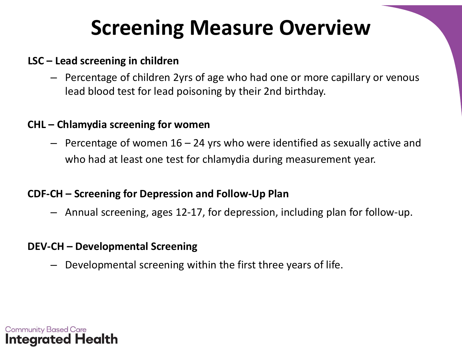# **Screening Measure Overview**

#### **LSC – Lead screening in children**

– Percentage of children 2yrs of age who had one or more capillary or venous lead blood test for lead poisoning by their 2nd birthday.

#### **CHL – Chlamydia screening for women**

– Percentage of women 16 – 24 yrs who were identified as sexually active and who had at least one test for chlamydia during measurement year.

#### **CDF‐CH – Screening for Depression and Follow‐Up Plan**

– Annual screening, ages 12‐17, for depression, including plan for follow‐up.

#### **DEV‐CH – Developmental Screening**

– Developmental screening within the first three years of life.

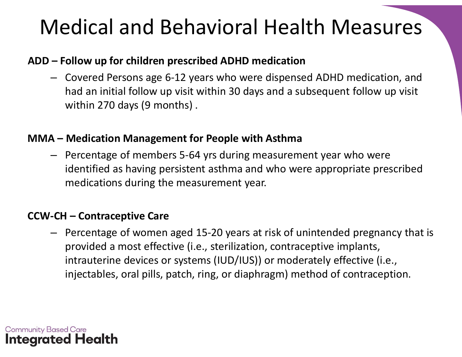### Medical and Behavioral Health Measures

#### **ADD – Follow up for children prescribed ADHD medication**

– Covered Persons age 6‐12 years who were dispensed ADHD medication, and had an initial follow up visit within 30 days and a subsequent follow up visit within 270 days (9 months) .

#### **MMA – Medication Management for People with Asthma**

– Percentage of members 5‐64 yrs during measurement year who were identified as having persistent asthma and who were appropriate prescribed medications during the measurement year.

#### **CCW‐CH – Contraceptive Care**

– Percentage of women aged 15‐20 years at risk of unintended pregnancy that is provided a most effective (i.e., sterilization, contraceptive implants, intrauterine devices or systems (IUD/IUS)) or moderately effective (i.e., injectables, oral pills, patch, ring, or diaphragm) method of contraception.

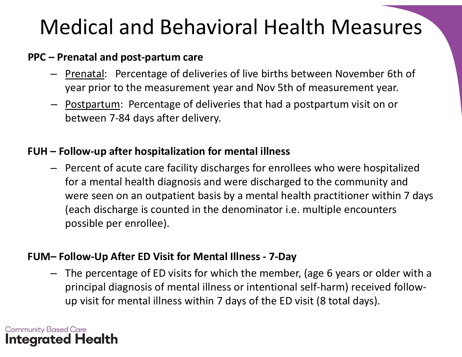### Medical and Behavioral Health Measures

#### **PPC – Prenatal and post‐partum care**

- Prenatal: Percentage of deliveries of live births between November 6th of year prior to the measurement year and Nov 5th of measurement year.
- $-$  Postpartum: Percentage of deliveries that had a postpartum visit on or between 7‐84 days after delivery.

#### **FUH – Follow‐up after hospitalization for mental illness**

– Percent of acute care facility discharges for enrollees who were hospitalized for a mental health diagnosis and were discharged to the community and were seen on an outpatient basis by a mental health practitioner within 7 days (each discharge is counted in the denominator i.e. multiple encounters possible per enrollee).

#### **FUM– Follow‐Up After ED Visit for Mental Illness ‐ 7‐Day**

– The percentage of ED visits for which the member, (age 6 years or older with a principal diagnosis of mental illness or intentional self‐harm) received follow‐ up visit for mental illness within 7 days of the ED visit (8 total days).

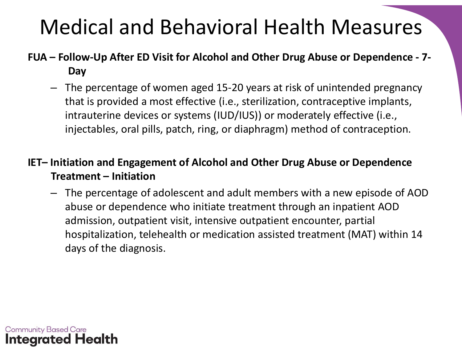# Medical and Behavioral Health Measures

### **FUA – Follow‐Up After ED Visit for Alcohol and Other Drug Abuse or Dependence ‐ 7‐ Day**

– The percentage of women aged 15‐20 years at risk of unintended pregnancy that is provided a most effective (i.e., sterilization, contraceptive implants, intrauterine devices or systems (IUD/IUS)) or moderately effective (i.e., injectables, oral pills, patch, ring, or diaphragm) method of contraception.

### **IET– Initiation and Engagement of Alcohol and Other Drug Abuse or Dependence Treatment – Initiation**

– The percentage of adolescent and adult members with a new episode of AOD abuse or dependence who initiate treatment through an inpatient AOD admission, outpatient visit, intensive outpatient encounter, partial hospitalization, telehealth or medication assisted treatment (MAT) within 14 days of the diagnosis.